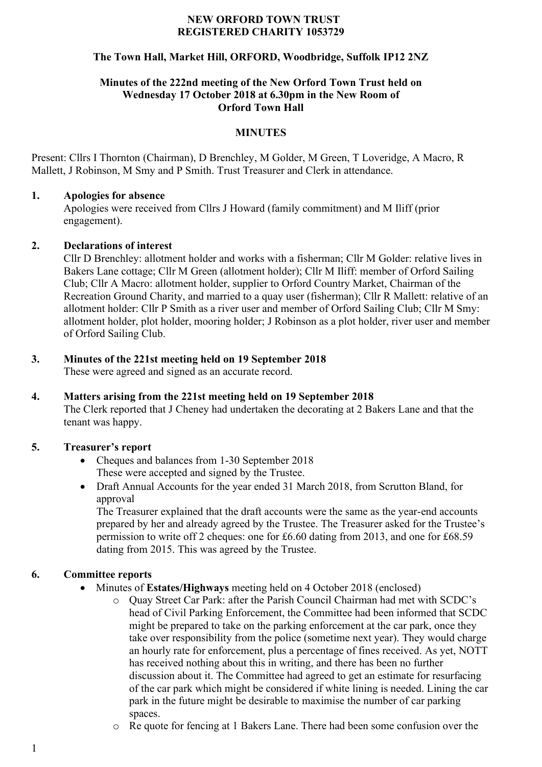#### **NEW ORFORD TOWN TRUST REGISTERED CHARITY 1053729**

## **The Town Hall, Market Hill, ORFORD, Woodbridge, Suffolk IP12 2NZ**

#### **Minutes of the 222nd meeting of the New Orford Town Trust held on Wednesday 17 October 2018 at 6.30pm in the New Room of Orford Town Hall**

## **MINUTES**

Present: Cllrs I Thornton (Chairman), D Brenchley, M Golder, M Green, T Loveridge, A Macro, R Mallett, J Robinson, M Smy and P Smith. Trust Treasurer and Clerk in attendance.

#### **1. Apologies for absence**

Apologies were received from Cllrs J Howard (family commitment) and M Iliff (prior engagement).

#### **2. Declarations of interest**

Cllr D Brenchley: allotment holder and works with a fisherman; Cllr M Golder: relative lives in Bakers Lane cottage; Cllr M Green (allotment holder); Cllr M Iliff: member of Orford Sailing Club; Cllr A Macro: allotment holder, supplier to Orford Country Market, Chairman of the Recreation Ground Charity, and married to a quay user (fisherman); Cllr R Mallett: relative of an allotment holder: Cllr P Smith as a river user and member of Orford Sailing Club; Cllr M Smy: allotment holder, plot holder, mooring holder; J Robinson as a plot holder, river user and member of Orford Sailing Club.

## **3. Minutes of the 221st meeting held on 19 September 2018**

These were agreed and signed as an accurate record.

#### **4. Matters arising from the 221st meeting held on 19 September 2018** The Clerk reported that J Cheney had undertaken the decorating at 2 Bakers Lane and that the tenant was happy.

## **5. Treasurer's report**

- Cheques and balances from 1-30 September 2018 These were accepted and signed by the Trustee.
- Draft Annual Accounts for the year ended 31 March 2018, from Scrutton Bland, for approval

The Treasurer explained that the draft accounts were the same as the year-end accounts prepared by her and already agreed by the Trustee. The Treasurer asked for the Trustee's permission to write off 2 cheques: one for £6.60 dating from 2013, and one for £68.59 dating from 2015. This was agreed by the Trustee.

## **6. Committee reports**

- Minutes of **Estates/Highways** meeting held on 4 October 2018 (enclosed)
	- o Quay Street Car Park: after the Parish Council Chairman had met with SCDC's head of Civil Parking Enforcement, the Committee had been informed that SCDC might be prepared to take on the parking enforcement at the car park, once they take over responsibility from the police (sometime next year). They would charge an hourly rate for enforcement, plus a percentage of fines received. As yet, NOTT has received nothing about this in writing, and there has been no further discussion about it. The Committee had agreed to get an estimate for resurfacing of the car park which might be considered if white lining is needed. Lining the car park in the future might be desirable to maximise the number of car parking spaces.
	- o Re quote for fencing at 1 Bakers Lane. There had been some confusion over the